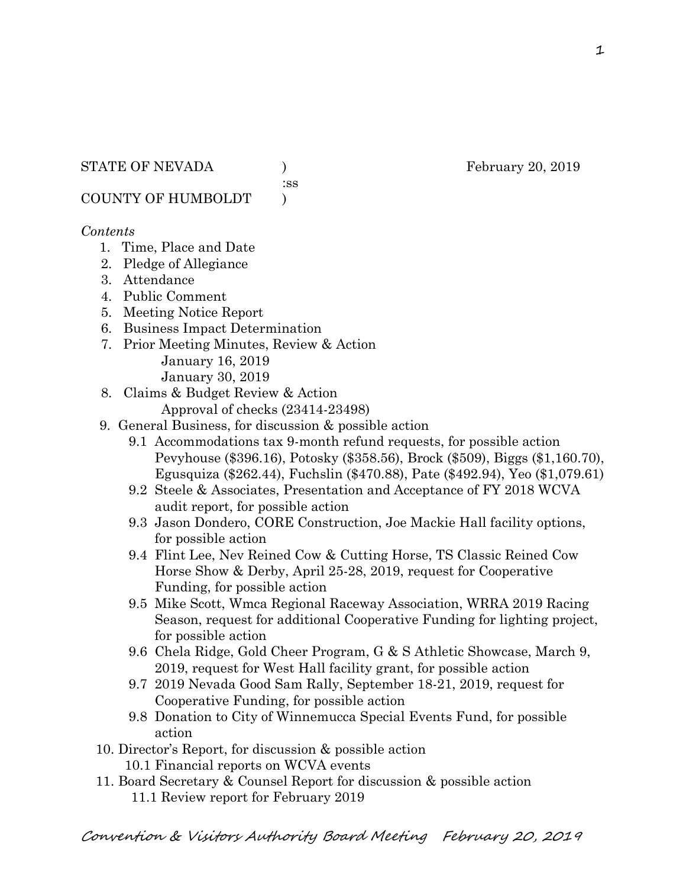:ss

COUNTY OF HUMBOLDT )

### *Contents*

- 1. Time, Place and Date
- 2. Pledge of Allegiance
- 3. Attendance
- 4. Public Comment
- 5. Meeting Notice Report
- 6. Business Impact Determination
- 7. Prior Meeting Minutes, Review & Action January 16, 2019 January 30, 2019
- 8. Claims & Budget Review & Action
	- Approval of checks (23414-23498)
- 9. General Business, for discussion & possible action
	- 9.1 Accommodations tax 9-month refund requests, for possible action Pevyhouse (\$396.16), Potosky (\$358.56), Brock (\$509), Biggs (\$1,160.70), Egusquiza (\$262.44), Fuchslin (\$470.88), Pate (\$492.94), Yeo (\$1,079.61)
	- 9.2 Steele & Associates, Presentation and Acceptance of FY 2018 WCVA audit report, for possible action
	- 9.3 Jason Dondero, CORE Construction, Joe Mackie Hall facility options, for possible action
	- 9.4 Flint Lee, Nev Reined Cow & Cutting Horse, TS Classic Reined Cow Horse Show & Derby, April 25-28, 2019, request for Cooperative Funding, for possible action
	- 9.5 Mike Scott, Wmca Regional Raceway Association, WRRA 2019 Racing Season, request for additional Cooperative Funding for lighting project, for possible action
	- 9.6 Chela Ridge, Gold Cheer Program, G & S Athletic Showcase, March 9, 2019, request for West Hall facility grant, for possible action
	- 9.7 2019 Nevada Good Sam Rally, September 18-21, 2019, request for Cooperative Funding, for possible action
	- 9.8 Donation to City of Winnemucca Special Events Fund, for possible action
- 10. Director's Report, for discussion & possible action
	- 10.1 Financial reports on WCVA events
- 11. Board Secretary & Counsel Report for discussion & possible action 11.1 Review report for February 2019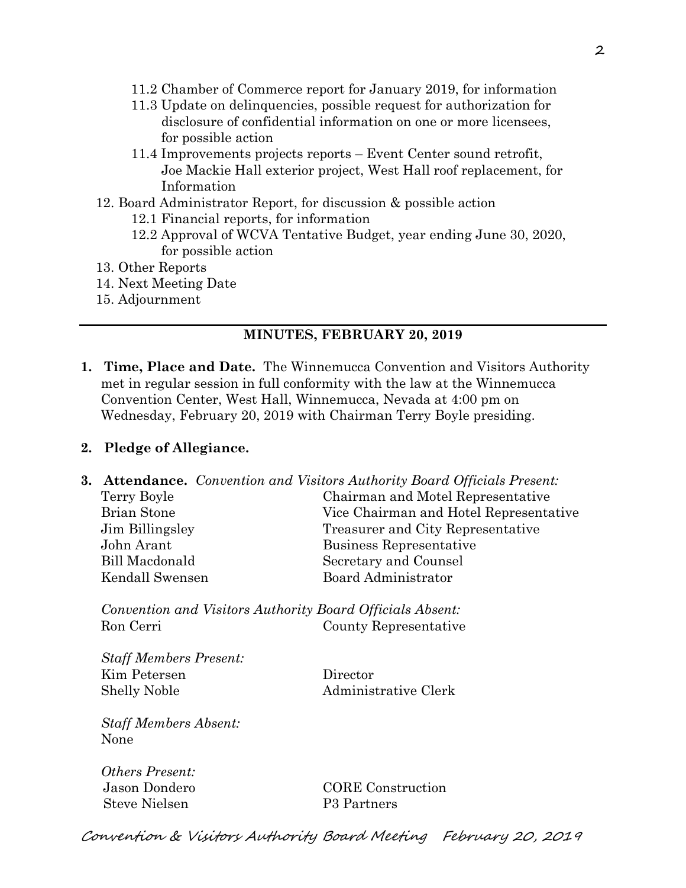- 11.2 Chamber of Commerce report for January 2019, for information
- 11.3 Update on delinquencies, possible request for authorization for disclosure of confidential information on one or more licensees, for possible action
- 11.4 Improvements projects reports Event Center sound retrofit, Joe Mackie Hall exterior project, West Hall roof replacement, for Information
- 12. Board Administrator Report, for discussion & possible action
	- 12.1 Financial reports, for information
	- 12.2 Approval of WCVA Tentative Budget, year ending June 30, 2020, for possible action
- 13. Other Reports
- 14. Next Meeting Date
- 15. Adjournment

#### **MINUTES, FEBRUARY 20, 2019**

**1. Time, Place and Date.** The Winnemucca Convention and Visitors Authority met in regular session in full conformity with the law at the Winnemucca Convention Center, West Hall, Winnemucca, Nevada at 4:00 pm on Wednesday, February 20, 2019 with Chairman Terry Boyle presiding.

#### **2. Pledge of Allegiance.**

**3. Attendance.** *Convention and Visitors Authority Board Officials Present:*  Terry Boyle Chairman and Motel Representative Brian Stone Vice Chairman and Hotel Representative Jim Billingsley Treasurer and City Representative John Arant Business Representative Bill Macdonald Secretary and Counsel Kendall Swensen Board Administrator

*Convention and Visitors Authority Board Officials Absent:*  Ron Cerri County Representative

*Staff Members Present:*  Kim Petersen Director Shelly Noble **Administrative Clerk** 

*Staff Members Absent:*  None

*Others Present:*  Steve Nielsen P3 Partners

Jason Dondero CORE Construction

Convention & Visitors Authority Board Meeting February 20, 2019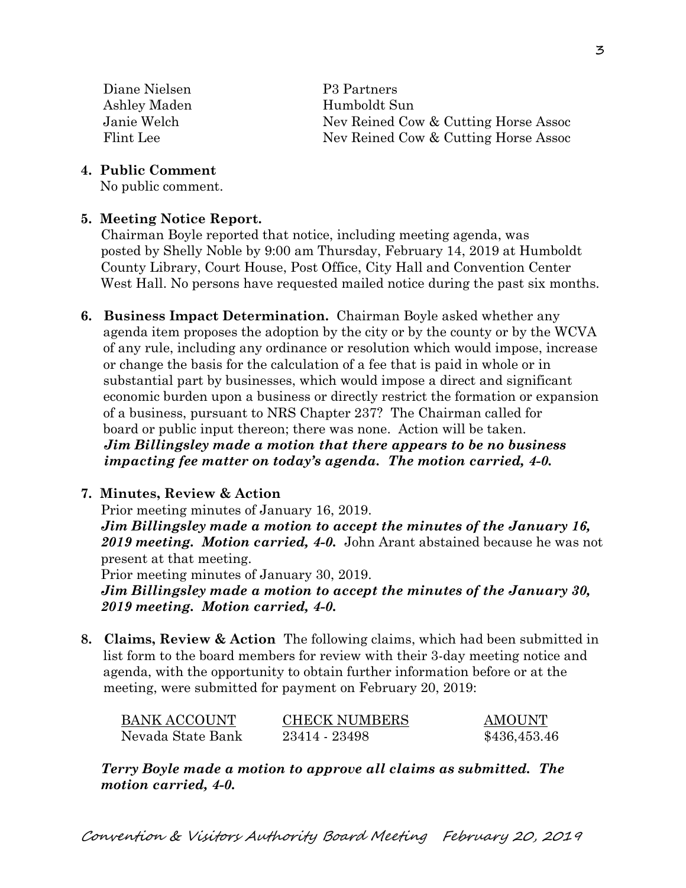Diane Nielsen P3 Partners Ashley Maden Humboldt Sun

 Janie Welch Nev Reined Cow & Cutting Horse Assoc Flint Lee Nev Reined Cow & Cutting Horse Assoc

#### **4. Public Comment**

No public comment.

#### **5. Meeting Notice Report.**

Chairman Boyle reported that notice, including meeting agenda, was posted by Shelly Noble by 9:00 am Thursday, February 14, 2019 at Humboldt County Library, Court House, Post Office, City Hall and Convention Center West Hall. No persons have requested mailed notice during the past six months.

**6. Business Impact Determination.** Chairman Boyle asked whether any agenda item proposes the adoption by the city or by the county or by the WCVA of any rule, including any ordinance or resolution which would impose, increase or change the basis for the calculation of a fee that is paid in whole or in substantial part by businesses, which would impose a direct and significant economic burden upon a business or directly restrict the formation or expansion of a business, pursuant to NRS Chapter 237? The Chairman called for board or public input thereon; there was none. Action will be taken.  *Jim Billingsley made a motion that there appears to be no business impacting fee matter on today's agenda. The motion carried, 4-0.* 

### **7. Minutes, Review & Action**

Prior meeting minutes of January 16, 2019.

*Jim Billingsley made a motion to accept the minutes of the January 16, 2019 meeting. Motion carried, 4-0.* John Arant abstained because he was not present at that meeting.

Prior meeting minutes of January 30, 2019.

*Jim Billingsley made a motion to accept the minutes of the January 30, 2019 meeting. Motion carried, 4-0.* 

**8. Claims, Review & Action** The following claims, which had been submitted in list form to the board members for review with their 3-day meeting notice and agenda, with the opportunity to obtain further information before or at the meeting, were submitted for payment on February 20, 2019:

| BANK ACCOUNT      | <b>CHECK NUMBERS</b> | AMOUNT       |
|-------------------|----------------------|--------------|
| Nevada State Bank | 23414 - 23498        | \$436,453.46 |

*Terry Boyle made a motion to approve all claims as submitted. The motion carried, 4-0.*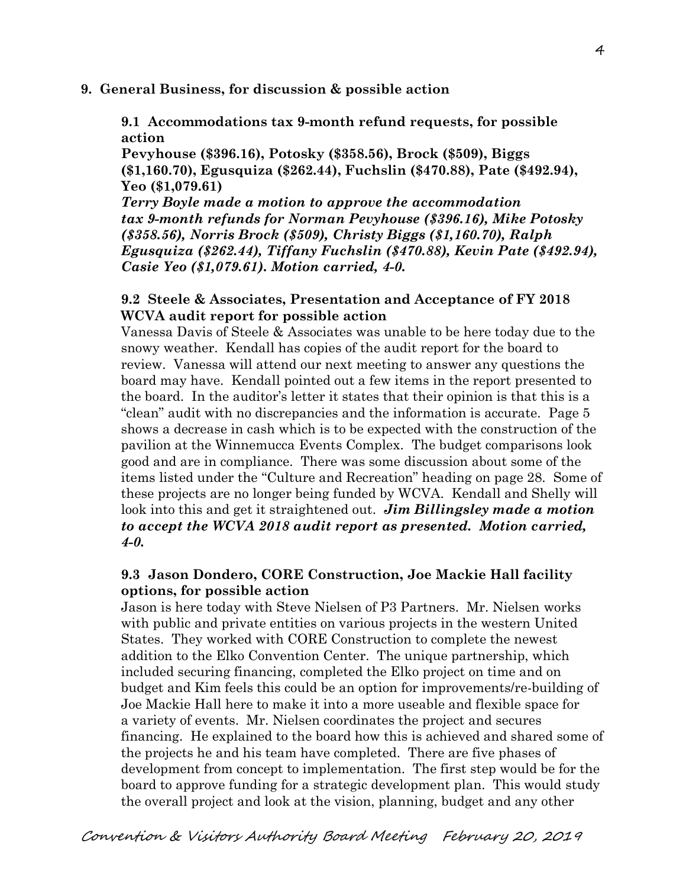#### **9. General Business, for discussion & possible action**

**9.1 Accommodations tax 9-month refund requests, for possible action** 

**Pevyhouse (\$396.16), Potosky (\$358.56), Brock (\$509), Biggs (\$1,160.70), Egusquiza (\$262.44), Fuchslin (\$470.88), Pate (\$492.94), Yeo (\$1,079.61)** 

*Terry Boyle made a motion to approve the accommodation tax 9-month refunds for Norman Pevyhouse (\$396.16), Mike Potosky (\$358.56), Norris Brock (\$509), Christy Biggs (\$1,160.70), Ralph Egusquiza (\$262.44), Tiffany Fuchslin (\$470.88), Kevin Pate (\$492.94), Casie Yeo (\$1,079.61). Motion carried, 4-0.*

### **9.2 Steele & Associates, Presentation and Acceptance of FY 2018 WCVA audit report for possible action**

Vanessa Davis of Steele & Associates was unable to be here today due to the snowy weather. Kendall has copies of the audit report for the board to review. Vanessa will attend our next meeting to answer any questions the board may have. Kendall pointed out a few items in the report presented to the board. In the auditor's letter it states that their opinion is that this is a "clean" audit with no discrepancies and the information is accurate. Page 5 shows a decrease in cash which is to be expected with the construction of the pavilion at the Winnemucca Events Complex. The budget comparisons look good and are in compliance. There was some discussion about some of the items listed under the "Culture and Recreation" heading on page 28. Some of these projects are no longer being funded by WCVA. Kendall and Shelly will look into this and get it straightened out. *Jim Billingsley made a motion to accept the WCVA 2018 audit report as presented. Motion carried, 4-0.* 

### **9.3 Jason Dondero, CORE Construction, Joe Mackie Hall facility options, for possible action**

Jason is here today with Steve Nielsen of P3 Partners. Mr. Nielsen works with public and private entities on various projects in the western United States. They worked with CORE Construction to complete the newest addition to the Elko Convention Center. The unique partnership, which included securing financing, completed the Elko project on time and on budget and Kim feels this could be an option for improvements/re-building of Joe Mackie Hall here to make it into a more useable and flexible space for a variety of events. Mr. Nielsen coordinates the project and secures financing. He explained to the board how this is achieved and shared some of the projects he and his team have completed. There are five phases of development from concept to implementation. The first step would be for the board to approve funding for a strategic development plan. This would study the overall project and look at the vision, planning, budget and any other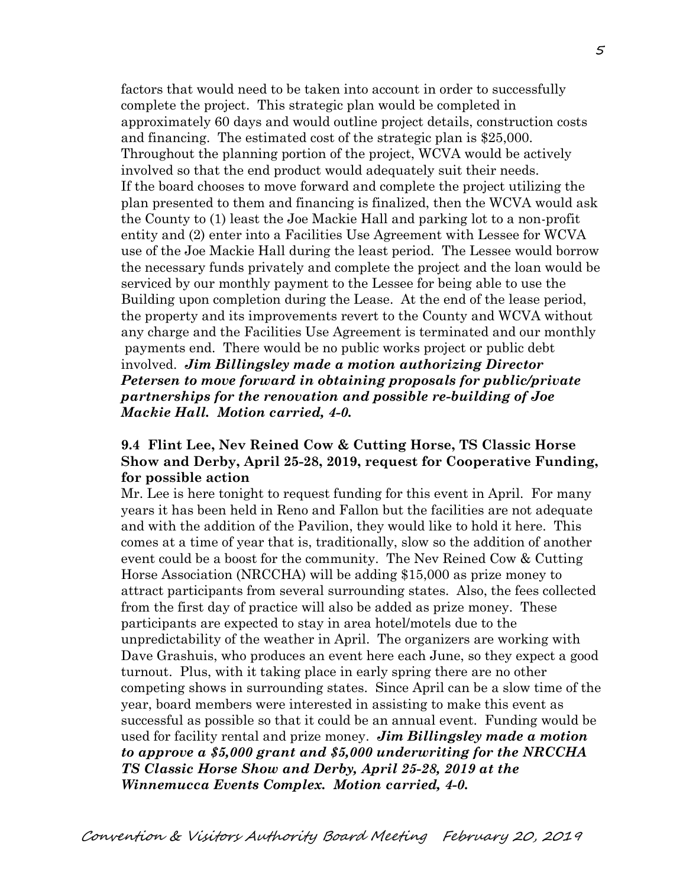factors that would need to be taken into account in order to successfully complete the project. This strategic plan would be completed in approximately 60 days and would outline project details, construction costs and financing. The estimated cost of the strategic plan is \$25,000. Throughout the planning portion of the project, WCVA would be actively involved so that the end product would adequately suit their needs. If the board chooses to move forward and complete the project utilizing the plan presented to them and financing is finalized, then the WCVA would ask the County to (1) least the Joe Mackie Hall and parking lot to a non-profit entity and (2) enter into a Facilities Use Agreement with Lessee for WCVA use of the Joe Mackie Hall during the least period. The Lessee would borrow the necessary funds privately and complete the project and the loan would be serviced by our monthly payment to the Lessee for being able to use the Building upon completion during the Lease. At the end of the lease period, the property and its improvements revert to the County and WCVA without any charge and the Facilities Use Agreement is terminated and our monthly payments end. There would be no public works project or public debt involved. *Jim Billingsley made a motion authorizing Director Petersen to move forward in obtaining proposals for public/private partnerships for the renovation and possible re-building of Joe Mackie Hall. Motion carried, 4-0.* 

### **9.4 Flint Lee, Nev Reined Cow & Cutting Horse, TS Classic Horse Show and Derby, April 25-28, 2019, request for Cooperative Funding, for possible action**

Mr. Lee is here tonight to request funding for this event in April. For many years it has been held in Reno and Fallon but the facilities are not adequate and with the addition of the Pavilion, they would like to hold it here. This comes at a time of year that is, traditionally, slow so the addition of another event could be a boost for the community. The Nev Reined Cow & Cutting Horse Association (NRCCHA) will be adding \$15,000 as prize money to attract participants from several surrounding states. Also, the fees collected from the first day of practice will also be added as prize money. These participants are expected to stay in area hotel/motels due to the unpredictability of the weather in April. The organizers are working with Dave Grashuis, who produces an event here each June, so they expect a good turnout. Plus, with it taking place in early spring there are no other competing shows in surrounding states. Since April can be a slow time of the year, board members were interested in assisting to make this event as successful as possible so that it could be an annual event. Funding would be used for facility rental and prize money. *Jim Billingsley made a motion to approve a \$5,000 grant and \$5,000 underwriting for the NRCCHA TS Classic Horse Show and Derby, April 25-28, 2019 at the Winnemucca Events Complex. Motion carried, 4-0.*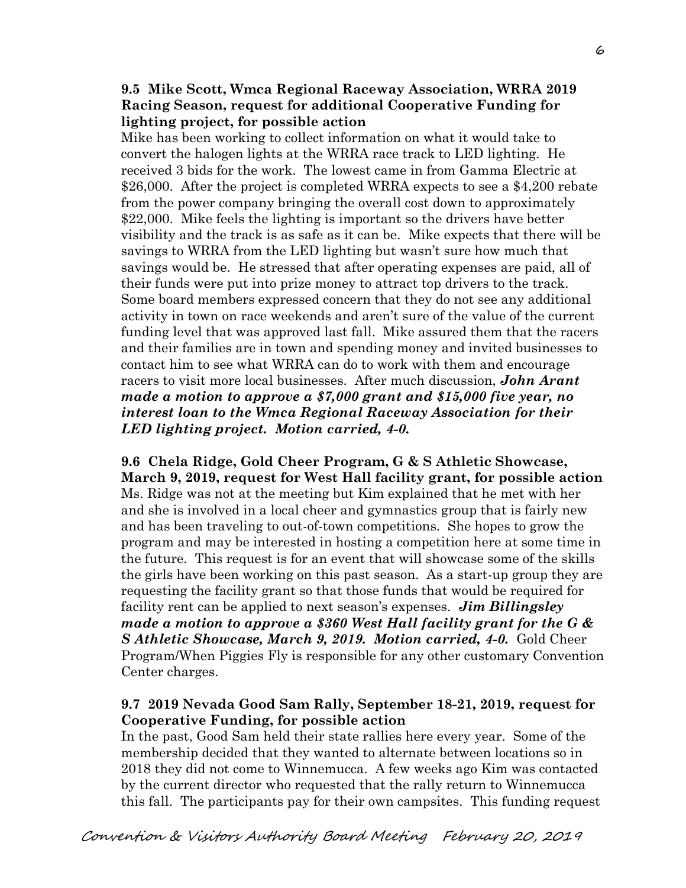### **9.5 Mike Scott, Wmca Regional Raceway Association, WRRA 2019 Racing Season, request for additional Cooperative Funding for lighting project, for possible action**

Mike has been working to collect information on what it would take to convert the halogen lights at the WRRA race track to LED lighting. He received 3 bids for the work. The lowest came in from Gamma Electric at \$26,000. After the project is completed WRRA expects to see a \$4,200 rebate from the power company bringing the overall cost down to approximately \$22,000. Mike feels the lighting is important so the drivers have better visibility and the track is as safe as it can be. Mike expects that there will be savings to WRRA from the LED lighting but wasn't sure how much that savings would be. He stressed that after operating expenses are paid, all of their funds were put into prize money to attract top drivers to the track. Some board members expressed concern that they do not see any additional activity in town on race weekends and aren't sure of the value of the current funding level that was approved last fall. Mike assured them that the racers and their families are in town and spending money and invited businesses to contact him to see what WRRA can do to work with them and encourage racers to visit more local businesses. After much discussion, *John Arant made a motion to approve a \$7,000 grant and \$15,000 five year, no interest loan to the Wmca Regional Raceway Association for their LED lighting project. Motion carried, 4-0.* 

**9.6 Chela Ridge, Gold Cheer Program, G & S Athletic Showcase, March 9, 2019, request for West Hall facility grant, for possible action**  Ms. Ridge was not at the meeting but Kim explained that he met with her and she is involved in a local cheer and gymnastics group that is fairly new and has been traveling to out-of-town competitions. She hopes to grow the program and may be interested in hosting a competition here at some time in the future. This request is for an event that will showcase some of the skills the girls have been working on this past season. As a start-up group they are requesting the facility grant so that those funds that would be required for facility rent can be applied to next season's expenses. *Jim Billingsley made a motion to approve a \$360 West Hall facility grant for the G & S Athletic Showcase, March 9, 2019. Motion carried, 4-0.* Gold Cheer Program/When Piggies Fly is responsible for any other customary Convention Center charges.

#### **9.7 2019 Nevada Good Sam Rally, September 18-21, 2019, request for Cooperative Funding, for possible action**

In the past, Good Sam held their state rallies here every year. Some of the membership decided that they wanted to alternate between locations so in 2018 they did not come to Winnemucca. A few weeks ago Kim was contacted by the current director who requested that the rally return to Winnemucca this fall. The participants pay for their own campsites. This funding request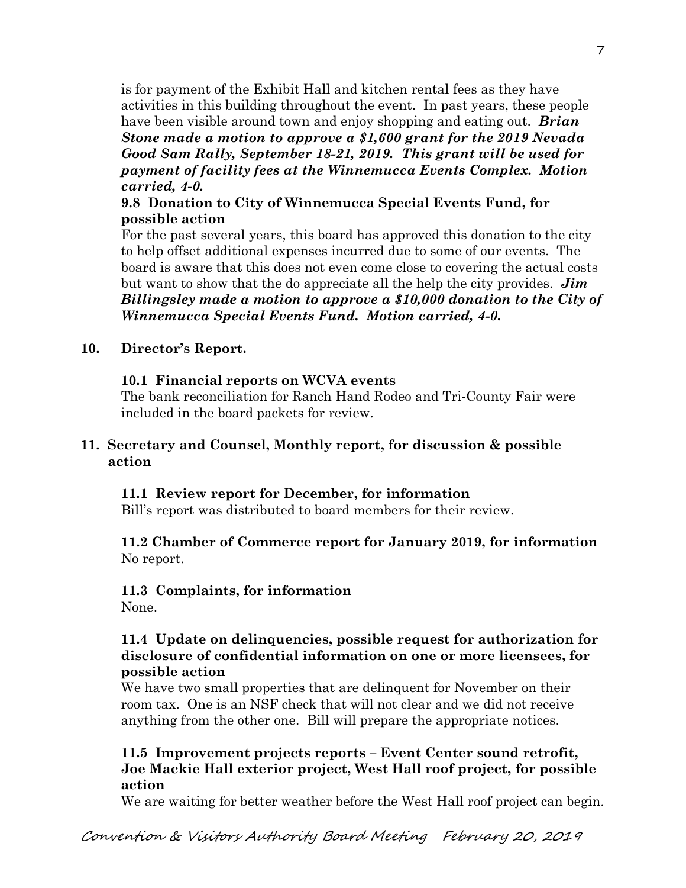is for payment of the Exhibit Hall and kitchen rental fees as they have activities in this building throughout the event. In past years, these people have been visible around town and enjoy shopping and eating out. *Brian Stone made a motion to approve a \$1,600 grant for the 2019 Nevada Good Sam Rally, September 18-21, 2019. This grant will be used for payment of facility fees at the Winnemucca Events Complex. Motion carried, 4-0.*

### **9.8 Donation to City of Winnemucca Special Events Fund, for possible action**

For the past several years, this board has approved this donation to the city to help offset additional expenses incurred due to some of our events. The board is aware that this does not even come close to covering the actual costs but want to show that the do appreciate all the help the city provides. *Jim Billingsley made a motion to approve a \$10,000 donation to the City of Winnemucca Special Events Fund. Motion carried, 4-0.*

### **10. Director's Report.**

#### **10.1 Financial reports on WCVA events**

The bank reconciliation for Ranch Hand Rodeo and Tri-County Fair were included in the board packets for review.

### **11. Secretary and Counsel, Monthly report, for discussion & possible action**

### **11.1 Review report for December, for information**

Bill's report was distributed to board members for their review.

### **11.2 Chamber of Commerce report for January 2019, for information**  No report.

# **11.3 Complaints, for information**

None.

### **11.4 Update on delinquencies, possible request for authorization for disclosure of confidential information on one or more licensees, for possible action**

We have two small properties that are delinquent for November on their room tax. One is an NSF check that will not clear and we did not receive anything from the other one. Bill will prepare the appropriate notices.

### **11.5 Improvement projects reports – Event Center sound retrofit, Joe Mackie Hall exterior project, West Hall roof project, for possible action**

We are waiting for better weather before the West Hall roof project can begin.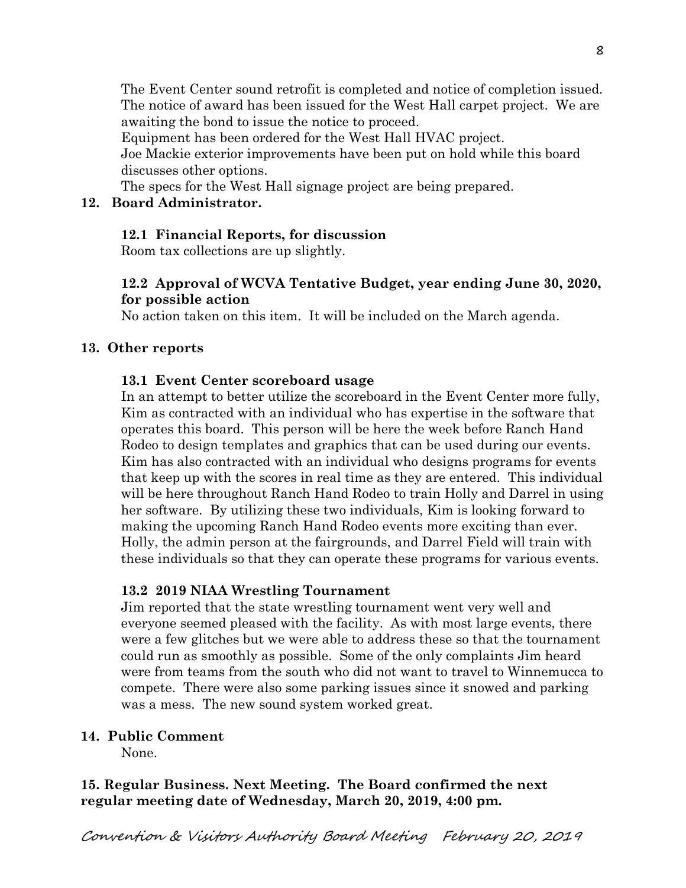The Event Center sound retrofit is completed and notice of completion issued. The notice of award has been issued for the West Hall carpet project. We are awaiting the bond to issue the notice to proceed.

Equipment has been ordered for the West Hall HVAC project.

 Joe Mackie exterior improvements have been put on hold while this board discusses other options.

The specs for the West Hall signage project are being prepared.

## **12. Board Administrator.**

# **12.1 Financial Reports, for discussion**

Room tax collections are up slightly.

### **12.2 Approval of WCVA Tentative Budget, year ending June 30, 2020, for possible action**

No action taken on this item. It will be included on the March agenda.

# **13. Other reports**

# **13.1 Event Center scoreboard usage**

In an attempt to better utilize the scoreboard in the Event Center more fully, Kim as contracted with an individual who has expertise in the software that operates this board. This person will be here the week before Ranch Hand Rodeo to design templates and graphics that can be used during our events. Kim has also contracted with an individual who designs programs for events that keep up with the scores in real time as they are entered. This individual will be here throughout Ranch Hand Rodeo to train Holly and Darrel in using her software. By utilizing these two individuals, Kim is looking forward to making the upcoming Ranch Hand Rodeo events more exciting than ever. Holly, the admin person at the fairgrounds, and Darrel Field will train with these individuals so that they can operate these programs for various events.

# **13.2 2019 NIAA Wrestling Tournament**

Jim reported that the state wrestling tournament went very well and everyone seemed pleased with the facility. As with most large events, there were a few glitches but we were able to address these so that the tournament could run as smoothly as possible. Some of the only complaints Jim heard were from teams from the south who did not want to travel to Winnemucca to compete. There were also some parking issues since it snowed and parking was a mess. The new sound system worked great.

# **14. Public Comment**

None.

# **15. Regular Business. Next Meeting. The Board confirmed the next regular meeting date of Wednesday, March 20, 2019, 4:00 pm.**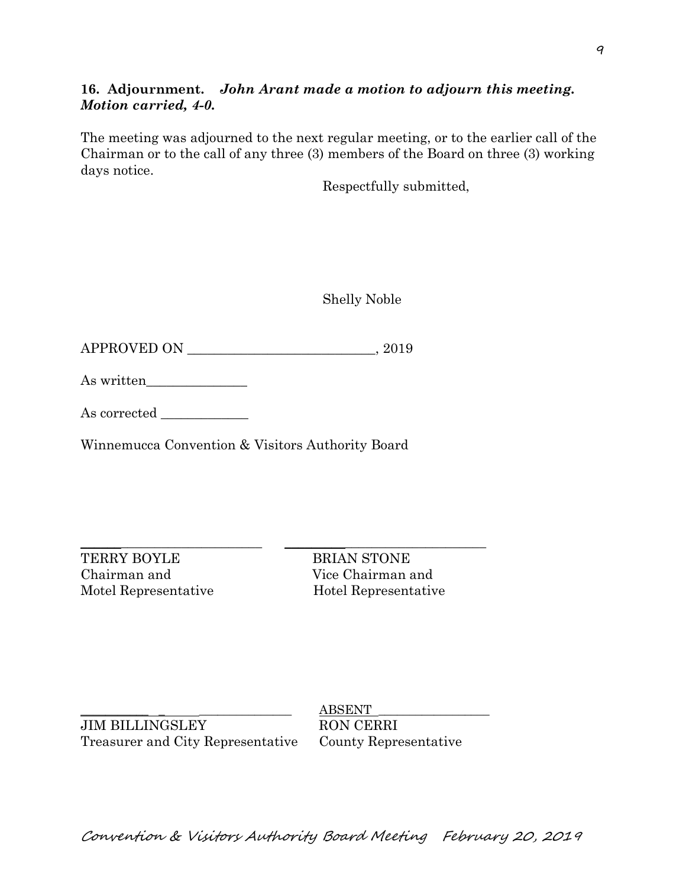### **16. Adjournment.** *John Arant made a motion to adjourn this meeting. Motion carried, 4-0.*

The meeting was adjourned to the next regular meeting, or to the earlier call of the Chairman or to the call of any three (3) members of the Board on three (3) working days notice.

Respectfully submitted,

Shelly Noble

APPROVED ON \_\_\_\_\_\_\_\_\_\_\_\_\_\_\_\_\_\_\_\_\_\_\_\_\_\_\_\_, 2019

As written

As corrected \_\_\_\_\_\_\_\_\_\_\_\_\_

Winnemucca Convention & Visitors Authority Board

TERRY BOYLE BRIAN STONE Chairman and Vice Chairman and Motel Representative Hotel Representative

 $\_$  , and the set of the set of the set of the set of the set of the set of the set of the set of the set of the set of the set of the set of the set of the set of the set of the set of the set of the set of the set of th

JIM BILLINGSLEY RON CERRI Treasurer and City Representative County Representative

 $ABSENT$